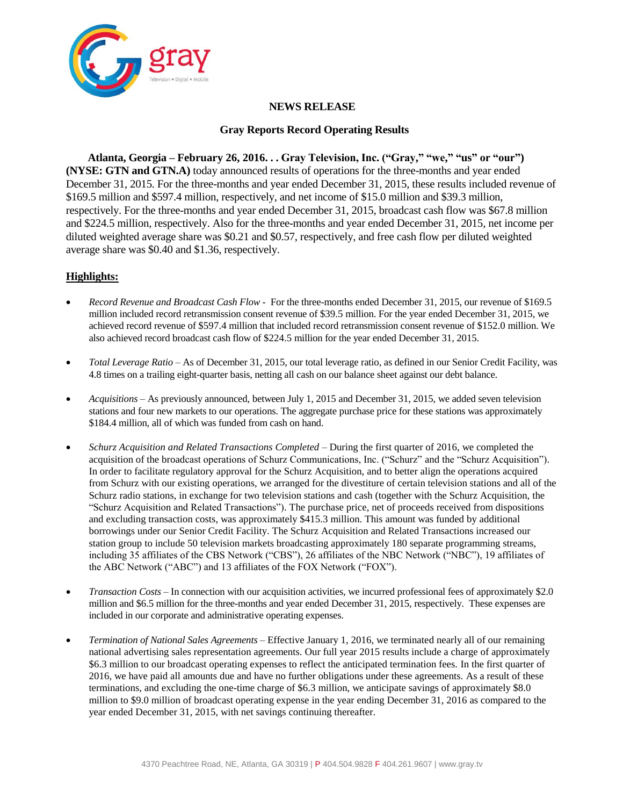

### **NEWS RELEASE**

### **Gray Reports Record Operating Results**

**Atlanta, Georgia – February 26, 2016. . . Gray Television, Inc. ("Gray," "we," "us" or "our") (NYSE: GTN and GTN.A)** today announced results of operations for the three-months and year ended December 31, 2015. For the three-months and year ended December 31, 2015, these results included revenue of \$169.5 million and \$597.4 million, respectively, and net income of \$15.0 million and \$39.3 million, respectively. For the three-months and year ended December 31, 2015, broadcast cash flow was \$67.8 million and \$224.5 million, respectively. Also for the three-months and year ended December 31, 2015, net income per diluted weighted average share was \$0.21 and \$0.57, respectively, and free cash flow per diluted weighted average share was \$0.40 and \$1.36, respectively.

### **Highlights:**

- *Record Revenue and Broadcast Cash Flow -* For the three-months ended December 31, 2015, our revenue of \$169.5 million included record retransmission consent revenue of \$39.5 million. For the year ended December 31, 2015, we achieved record revenue of \$597.4 million that included record retransmission consent revenue of \$152.0 million. We also achieved record broadcast cash flow of \$224.5 million for the year ended December 31, 2015.
- *Total Leverage Ratio* As of December 31, 2015, our total leverage ratio, as defined in our Senior Credit Facility, was 4.8 times on a trailing eight-quarter basis, netting all cash on our balance sheet against our debt balance.
- *Acquisitions –* As previously announced, between July 1, 2015 and December 31, 2015, we added seven television stations and four new markets to our operations. The aggregate purchase price for these stations was approximately \$184.4 million, all of which was funded from cash on hand.
- *Schurz Acquisition and Related Transactions Completed –* During the first quarter of 2016, we completed the acquisition of the broadcast operations of Schurz Communications, Inc. ("Schurz" and the "Schurz Acquisition"). In order to facilitate regulatory approval for the Schurz Acquisition, and to better align the operations acquired from Schurz with our existing operations, we arranged for the divestiture of certain television stations and all of the Schurz radio stations, in exchange for two television stations and cash (together with the Schurz Acquisition, the "Schurz Acquisition and Related Transactions"). The purchase price, net of proceeds received from dispositions and excluding transaction costs, was approximately \$415.3 million. This amount was funded by additional borrowings under our Senior Credit Facility. The Schurz Acquisition and Related Transactions increased our station group to include 50 television markets broadcasting approximately 180 separate programming streams, including 35 affiliates of the CBS Network ("CBS"), 26 affiliates of the NBC Network ("NBC"), 19 affiliates of the ABC Network ("ABC") and 13 affiliates of the FOX Network ("FOX").
- *Transaction Costs*  In connection with our acquisition activities, we incurred professional fees of approximately \$2.0 million and \$6.5 million for the three-months and year ended December 31, 2015, respectively. These expenses are included in our corporate and administrative operating expenses.
- *Termination of National Sales Agreements*  Effective January 1, 2016, we terminated nearly all of our remaining national advertising sales representation agreements. Our full year 2015 results include a charge of approximately \$6.3 million to our broadcast operating expenses to reflect the anticipated termination fees. In the first quarter of 2016, we have paid all amounts due and have no further obligations under these agreements. As a result of these terminations, and excluding the one-time charge of \$6.3 million, we anticipate savings of approximately \$8.0 million to \$9.0 million of broadcast operating expense in the year ending December 31, 2016 as compared to the year ended December 31, 2015, with net savings continuing thereafter.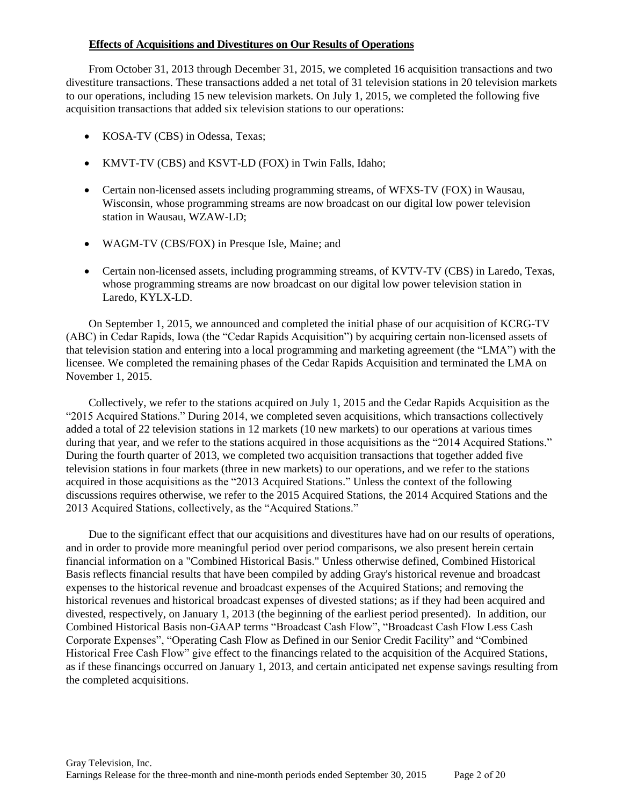### **Effects of Acquisitions and Divestitures on Our Results of Operations**

From October 31, 2013 through December 31, 2015, we completed 16 acquisition transactions and two divestiture transactions. These transactions added a net total of 31 television stations in 20 television markets to our operations, including 15 new television markets. On July 1, 2015, we completed the following five acquisition transactions that added six television stations to our operations:

- KOSA-TV (CBS) in Odessa, Texas;
- KMVT-TV (CBS) and KSVT-LD (FOX) in Twin Falls, Idaho;
- Certain non-licensed assets including programming streams, of WFXS-TV (FOX) in Wausau, Wisconsin, whose programming streams are now broadcast on our digital low power television station in Wausau, WZAW-LD;
- WAGM-TV (CBS/FOX) in Presque Isle, Maine; and
- Certain non-licensed assets, including programming streams, of KVTV-TV (CBS) in Laredo, Texas, whose programming streams are now broadcast on our digital low power television station in Laredo, KYLX-LD.

On September 1, 2015, we announced and completed the initial phase of our acquisition of KCRG-TV (ABC) in Cedar Rapids, Iowa (the "Cedar Rapids Acquisition") by acquiring certain non-licensed assets of that television station and entering into a local programming and marketing agreement (the "LMA") with the licensee. We completed the remaining phases of the Cedar Rapids Acquisition and terminated the LMA on November 1, 2015.

Collectively, we refer to the stations acquired on July 1, 2015 and the Cedar Rapids Acquisition as the "2015 Acquired Stations." During 2014, we completed seven acquisitions, which transactions collectively added a total of 22 television stations in 12 markets (10 new markets) to our operations at various times during that year, and we refer to the stations acquired in those acquisitions as the "2014 Acquired Stations." During the fourth quarter of 2013, we completed two acquisition transactions that together added five television stations in four markets (three in new markets) to our operations, and we refer to the stations acquired in those acquisitions as the "2013 Acquired Stations." Unless the context of the following discussions requires otherwise, we refer to the 2015 Acquired Stations, the 2014 Acquired Stations and the 2013 Acquired Stations, collectively, as the "Acquired Stations."

Due to the significant effect that our acquisitions and divestitures have had on our results of operations, and in order to provide more meaningful period over period comparisons, we also present herein certain financial information on a "Combined Historical Basis." Unless otherwise defined, Combined Historical Basis reflects financial results that have been compiled by adding Gray's historical revenue and broadcast expenses to the historical revenue and broadcast expenses of the Acquired Stations; and removing the historical revenues and historical broadcast expenses of divested stations; as if they had been acquired and divested, respectively, on January 1, 2013 (the beginning of the earliest period presented). In addition, our Combined Historical Basis non-GAAP terms "Broadcast Cash Flow", "Broadcast Cash Flow Less Cash Corporate Expenses", "Operating Cash Flow as Defined in our Senior Credit Facility" and "Combined Historical Free Cash Flow" give effect to the financings related to the acquisition of the Acquired Stations, as if these financings occurred on January 1, 2013, and certain anticipated net expense savings resulting from the completed acquisitions.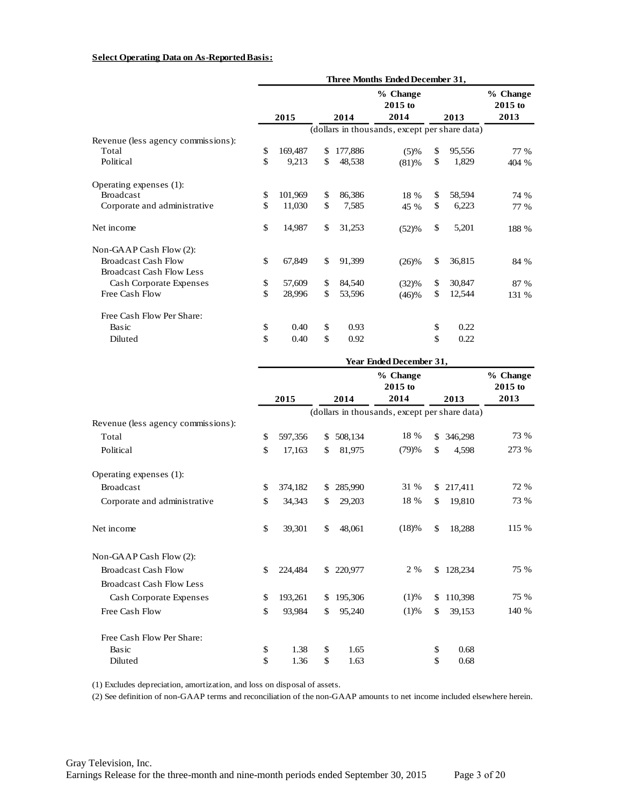#### **Select Operating Data on As-Reported Basis:**

|                                    |              |         |               | Three Months Ended December 31,               |              |                               |
|------------------------------------|--------------|---------|---------------|-----------------------------------------------|--------------|-------------------------------|
|                                    |              | 2015    | 2014          | % Change<br>$2015$ to<br>2014                 | 2013         | % Change<br>$2015$ to<br>2013 |
|                                    |              |         |               |                                               |              |                               |
| Revenue (less agency commissions): |              |         |               | (dollars in thousands, except per share data) |              |                               |
| Total                              | \$           | 169,487 | \$<br>177,886 | (5)%                                          | \$<br>95,556 | 77 %                          |
| Political                          | \$           | 9,213   | \$<br>48,538  | (81)%                                         | \$<br>1,829  | 404 %                         |
| Operating expenses (1):            |              |         |               |                                               |              |                               |
| <b>Broadcast</b>                   | \$           | 101,969 | \$<br>86,386  | 18 %                                          | \$<br>58,594 | 74 %                          |
| Corporate and administrative       | \$           | 11,030  | \$<br>7,585   | 45 %                                          | \$<br>6,223  | 77 %                          |
| Net income                         | $\mathbb{S}$ | 14,987  | \$<br>31,253  | (52)%                                         | \$<br>5,201  | 188 %                         |
| Non-GAAP Cash Flow $(2)$ :         |              |         |               |                                               |              |                               |
| <b>Broadcast Cash Flow</b>         | \$           | 67,849  | \$<br>91,399  | $(26)\%$                                      | \$<br>36,815 | 84 %                          |
| <b>Broadcast Cash Flow Less</b>    |              |         |               |                                               |              |                               |
| Cash Corporate Expenses            | \$           | 57,609  | \$<br>84,540  | (32)%                                         | \$<br>30,847 | 87 %                          |
| Free Cash Flow                     | \$           | 28,996  | \$<br>53,596  | (46)%                                         | \$<br>12,544 | 131 %                         |
| Free Cash Flow Per Share:          |              |         |               |                                               |              |                               |
| Basic                              | \$           | 0.40    | \$<br>0.93    |                                               | \$<br>0.22   |                               |
| Diluted                            | \$           | 0.40    | \$<br>0.92    |                                               | \$<br>0.22   |                               |

|                                    | Year Ended December 31, |         |    |         |                                               |               |                       |
|------------------------------------|-------------------------|---------|----|---------|-----------------------------------------------|---------------|-----------------------|
|                                    |                         |         |    |         | % Change<br>$2015$ to                         |               | % Change<br>$2015$ to |
|                                    |                         | 2015    |    | 2014    | 2014                                          | 2013          | 2013                  |
|                                    |                         |         |    |         | (dollars in thousands, except per share data) |               |                       |
| Revenue (less agency commissions): |                         |         |    |         |                                               |               |                       |
| Total                              | \$                      | 597,356 | \$ | 508,134 | 18 %                                          | \$<br>346,298 | 73 %                  |
| Political                          | \$                      | 17,163  | \$ | 81,975  | (79)%                                         | \$<br>4,598   | 273 %                 |
| Operating expenses (1):            |                         |         |    |         |                                               |               |                       |
| <b>Broadcast</b>                   | \$                      | 374,182 | \$ | 285,990 | 31 %                                          | \$<br>217,411 | 72 %                  |
| Corporate and administrative       | \$                      | 34,343  | \$ | 29,203  | 18 %                                          | \$<br>19.810  | 73 %                  |
| Net income                         | \$                      | 39,301  | \$ | 48,061  | (18)%                                         | \$<br>18,288  | 115 %                 |
| Non-GAAP Cash Flow (2):            |                         |         |    |         |                                               |               |                       |
| <b>Broadcast Cash Flow</b>         | \$                      | 224.484 | \$ | 220,977 | 2 %                                           | \$<br>128,234 | 75 %                  |
| <b>Broadcast Cash Flow Less</b>    |                         |         |    |         |                                               |               |                       |
| Cash Corporate Expenses            | \$                      | 193,261 | \$ | 195,306 | (1)%                                          | \$<br>110,398 | 75 %                  |
| Free Cash Flow                     | \$                      | 93,984  | \$ | 95,240  | (1)%                                          | \$<br>39,153  | 140 %                 |
| Free Cash Flow Per Share:          |                         |         |    |         |                                               |               |                       |
| Basic                              | \$                      | 1.38    | \$ | 1.65    |                                               | \$<br>0.68    |                       |
| Diluted                            | \$                      | 1.36    | \$ | 1.63    |                                               | \$<br>0.68    |                       |

(1) Excludes depreciation, amortization, and loss on disposal of assets.

(2) See definition of non-GAAP terms and reconciliation of the non-GAAP amounts to net income included elsewhere herein.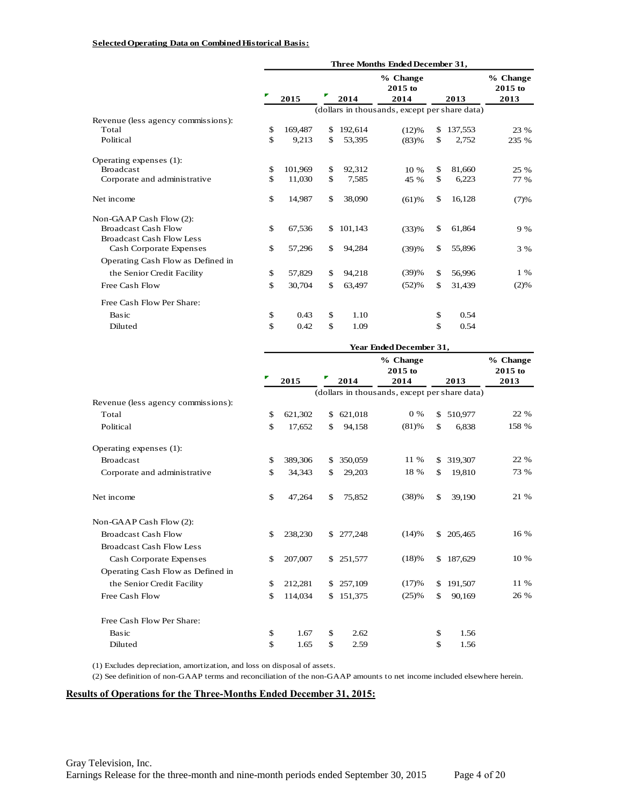#### **Selected Operating Data on Combined Historical Basis:**

|                                                            | Three Months Ended December 31, |         |              |         |                                               |     |         |                               |
|------------------------------------------------------------|---------------------------------|---------|--------------|---------|-----------------------------------------------|-----|---------|-------------------------------|
|                                                            | Ρ                               | 2015    |              | 2014    | % Change<br>$2015$ to<br>2014                 |     | 2013    | % Change<br>$2015$ to<br>2013 |
|                                                            |                                 |         |              |         | (dollars in thousands, except per share data) |     |         |                               |
| Revenue (less agency commissions):                         |                                 |         |              |         |                                               |     |         |                               |
| Total                                                      | \$                              | 169,487 | \$           | 192,614 | (12)%                                         | \$  | 137,553 | 23 %                          |
| Political                                                  | \$                              | 9,213   | \$           | 53,395  | (83)%                                         | \$  | 2,752   | 235 %                         |
| Operating expenses (1):                                    |                                 |         |              |         |                                               |     |         |                               |
| <b>Broadcast</b>                                           | \$                              | 101.969 | $\mathbb{S}$ | 92,312  | $10\%$                                        | \$  | 81,660  | 25 %                          |
| Corporate and administrative                               | \$                              | 11,030  | \$           | 7,585   | 45 %                                          | \$  | 6,223   | 77 %                          |
| Net income                                                 | \$                              | 14,987  | \$           | 38,090  | (61)%                                         | \$  | 16,128  | (7)%                          |
| Non-GAAP Cash Flow (2):                                    |                                 |         |              |         |                                               |     |         |                               |
| <b>Broadcast Cash Flow</b>                                 | \$                              | 67,536  | \$           | 101,143 | (33)%                                         | \$  | 61,864  | 9%                            |
| <b>Broadcast Cash Flow Less</b><br>Cash Corporate Expenses | \$                              | 57,296  | \$           | 94,284  | (39)%                                         | \$  | 55,896  | 3 %                           |
| Operating Cash Flow as Defined in                          |                                 |         |              |         |                                               |     |         |                               |
| the Senior Credit Facility                                 | \$                              | 57,829  | $\mathbb{S}$ | 94,218  | (39)%                                         | \$. | 56,996  | $1\%$                         |
| Free Cash Flow                                             | \$                              | 30,704  | \$           | 63,497  | (52)%                                         | \$. | 31,439  | (2)%                          |
| Free Cash Flow Per Share:                                  |                                 |         |              |         |                                               |     |         |                               |
| <b>Basic</b>                                               | \$                              | 0.43    | $\mathbb{S}$ | 1.10    |                                               | \$  | 0.54    |                               |
| Diluted                                                    | \$                              | 0.42    | \$           | 1.09    |                                               | \$  | 0.54    |                               |

|                                    | <b>Year Ended December 31,</b> |         |     |           |                                               |     |         |                             |
|------------------------------------|--------------------------------|---------|-----|-----------|-----------------------------------------------|-----|---------|-----------------------------|
|                                    |                                | 2015    |     | 2014      | % Change<br>$2015$ to<br>2014                 |     | 2013    | % Change<br>2015 to<br>2013 |
|                                    |                                |         |     |           | (dollars in thousands, except per share data) |     |         |                             |
| Revenue (less agency commissions): |                                |         |     |           |                                               |     |         |                             |
| Total                              | \$                             | 621,302 | \$  | 621,018   | $0\%$                                         | \$  | 510,977 | 22 %                        |
| Political                          | \$                             | 17,652  | \$  | 94,158    | $(81)$ %                                      | \$  | 6.838   | 158 %                       |
| Operating expenses (1):            |                                |         |     |           |                                               |     |         |                             |
| <b>Broadcast</b>                   | \$                             | 389,306 | \$  | 350,059   | 11 %                                          | \$  | 319,307 | 22 %                        |
| Corporate and administrative       | \$                             | 34,343  | \$  | 29,203    | 18 %                                          | \$  | 19,810  | 73 %                        |
| Net income                         | \$                             | 47,264  | \$  | 75,852    | (38)%                                         | \$  | 39,190  | 21 %                        |
| Non-GAAP Cash Flow (2):            |                                |         |     |           |                                               |     |         |                             |
| <b>Broadcast Cash Flow</b>         | \$                             | 238,230 | \$. | 277,248   | (14)%                                         | \$. | 205,465 | 16 %                        |
| <b>Broadcast Cash Flow Less</b>    |                                |         |     |           |                                               |     |         |                             |
| Cash Corporate Expenses            | \$                             | 207,007 |     | \$251,577 | (18)%                                         | \$  | 187,629 | 10 %                        |
| Operating Cash Flow as Defined in  |                                |         |     |           |                                               |     |         |                             |
| the Senior Credit Facility         | \$                             | 212,281 | \$  | 257,109   | (17)%                                         | \$  | 191,507 | 11 %                        |
| Free Cash Flow                     | \$                             | 114,034 | \$  | 151,375   | (25)%                                         | \$  | 90,169  | 26 %                        |
| Free Cash Flow Per Share:          |                                |         |     |           |                                               |     |         |                             |
| Basic                              | \$                             | 1.67    | \$  | 2.62      |                                               | \$  | 1.56    |                             |
| Diluted                            | \$                             | 1.65    | \$  | 2.59      |                                               | \$  | 1.56    |                             |

(1) Excludes depreciation, amortization, and loss on disposal of assets.

(2) See definition of non-GAAP terms and reconciliation of the non-GAAP amounts to net income included elsewhere herein.

#### **Results of Operations for the Three-Months Ended December 31, 2015:**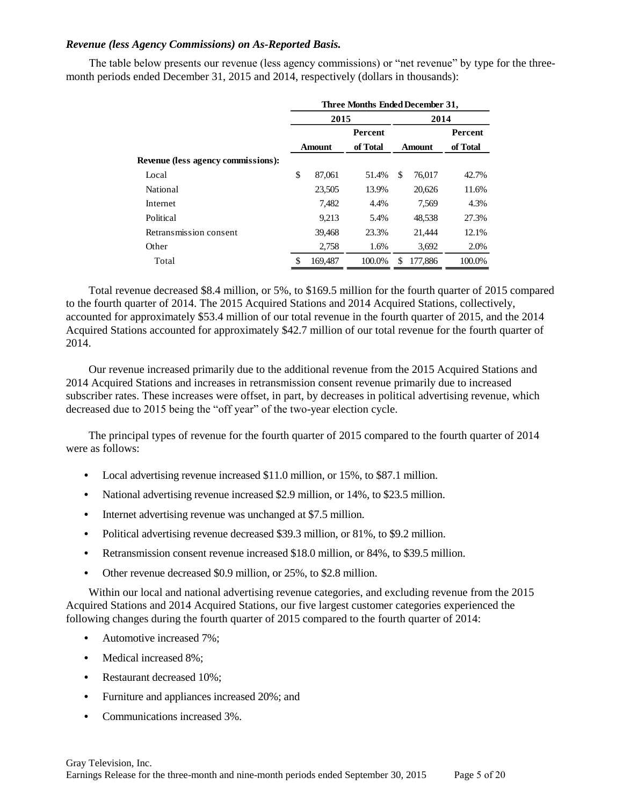### *Revenue (less Agency Commissions) on As-Reported Basis.*

The table below presents our revenue (less agency commissions) or "net revenue" by type for the threemonth periods ended December 31, 2015 and 2014, respectively (dollars in thousands):

| Three Months Ended December 31, |         |                |    |         |               |  |  |
|---------------------------------|---------|----------------|----|---------|---------------|--|--|
| 2015                            |         |                |    | 2014    |               |  |  |
|                                 |         | <b>Percent</b> |    |         | Percent       |  |  |
|                                 |         | of Total       |    |         | of Total      |  |  |
|                                 |         |                |    |         |               |  |  |
| \$                              | 87,061  | 51.4%          | \$ | 76.017  | 42.7%         |  |  |
|                                 | 23,505  | 13.9%          |    | 20,626  | 11.6%         |  |  |
|                                 | 7.482   | 4.4%           |    | 7.569   | 4.3%          |  |  |
|                                 | 9,213   | 5.4%           |    | 48,538  | 27.3%         |  |  |
|                                 | 39,468  | 23.3%          |    | 21,444  | 12.1%         |  |  |
|                                 | 2,758   | 1.6%           |    | 3,692   | 2.0%          |  |  |
| \$                              | 169,487 | 100.0%         | \$ | 177,886 | 100.0%        |  |  |
|                                 |         | <b>Amount</b>  |    |         | <b>Amount</b> |  |  |

Total revenue decreased \$8.4 million, or 5%, to \$169.5 million for the fourth quarter of 2015 compared to the fourth quarter of 2014. The 2015 Acquired Stations and 2014 Acquired Stations, collectively, accounted for approximately \$53.4 million of our total revenue in the fourth quarter of 2015, and the 2014 Acquired Stations accounted for approximately \$42.7 million of our total revenue for the fourth quarter of 2014.

Our revenue increased primarily due to the additional revenue from the 2015 Acquired Stations and 2014 Acquired Stations and increases in retransmission consent revenue primarily due to increased subscriber rates. These increases were offset, in part, by decreases in political advertising revenue, which decreased due to 2015 being the "off year" of the two-year election cycle.

The principal types of revenue for the fourth quarter of 2015 compared to the fourth quarter of 2014 were as follows:

- **•** Local advertising revenue increased \$11.0 million, or 15%, to \$87.1 million.
- **•** National advertising revenue increased \$2.9 million, or 14%, to \$23.5 million.
- **•** Internet advertising revenue was unchanged at \$7.5 million.
- **•** Political advertising revenue decreased \$39.3 million, or 81%, to \$9.2 million.
- **•** Retransmission consent revenue increased \$18.0 million, or 84%, to \$39.5 million.
- **•** Other revenue decreased \$0.9 million, or 25%, to \$2.8 million.

Within our local and national advertising revenue categories, and excluding revenue from the 2015 Acquired Stations and 2014 Acquired Stations, our five largest customer categories experienced the following changes during the fourth quarter of 2015 compared to the fourth quarter of 2014:

- **•** Automotive increased 7%;
- **•** Medical increased 8%;
- **•** Restaurant decreased 10%;
- **•** Furniture and appliances increased 20%; and
- **•** Communications increased 3%.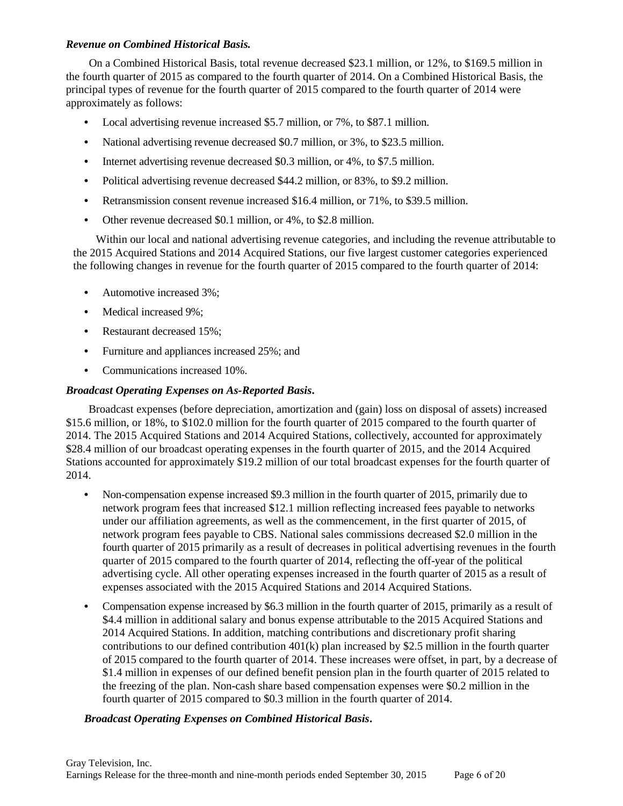## *Revenue on Combined Historical Basis.*

On a Combined Historical Basis, total revenue decreased \$23.1 million, or 12%, to \$169.5 million in the fourth quarter of 2015 as compared to the fourth quarter of 2014. On a Combined Historical Basis, the principal types of revenue for the fourth quarter of 2015 compared to the fourth quarter of 2014 were approximately as follows:

- **•** Local advertising revenue increased \$5.7 million, or 7%, to \$87.1 million.
- **•** National advertising revenue decreased \$0.7 million, or 3%, to \$23.5 million.
- **•** Internet advertising revenue decreased \$0.3 million, or 4%, to \$7.5 million.
- Political advertising revenue decreased \$44.2 million, or 83%, to \$9.2 million.
- **•** Retransmission consent revenue increased \$16.4 million, or 71%, to \$39.5 million.
- **•** Other revenue decreased \$0.1 million, or 4%, to \$2.8 million.

Within our local and national advertising revenue categories, and including the revenue attributable to the 2015 Acquired Stations and 2014 Acquired Stations, our five largest customer categories experienced the following changes in revenue for the fourth quarter of 2015 compared to the fourth quarter of 2014:

- **•** Automotive increased 3%;
- **•** Medical increased 9%;
- **•** Restaurant decreased 15%;
- **•** Furniture and appliances increased 25%; and
- **•** Communications increased 10%.

### *Broadcast Operating Expenses on As-Reported Basis***.**

Broadcast expenses (before depreciation, amortization and (gain) loss on disposal of assets) increased \$15.6 million, or 18%, to \$102.0 million for the fourth quarter of 2015 compared to the fourth quarter of 2014. The 2015 Acquired Stations and 2014 Acquired Stations, collectively, accounted for approximately \$28.4 million of our broadcast operating expenses in the fourth quarter of 2015, and the 2014 Acquired Stations accounted for approximately \$19.2 million of our total broadcast expenses for the fourth quarter of 2014.

- Non-compensation expense increased \$9.3 million in the fourth quarter of 2015, primarily due to network program fees that increased \$12.1 million reflecting increased fees payable to networks under our affiliation agreements, as well as the commencement, in the first quarter of 2015, of network program fees payable to CBS. National sales commissions decreased \$2.0 million in the fourth quarter of 2015 primarily as a result of decreases in political advertising revenues in the fourth quarter of 2015 compared to the fourth quarter of 2014, reflecting the off-year of the political advertising cycle. All other operating expenses increased in the fourth quarter of 2015 as a result of expenses associated with the 2015 Acquired Stations and 2014 Acquired Stations.
- Compensation expense increased by \$6.3 million in the fourth quarter of 2015, primarily as a result of \$4.4 million in additional salary and bonus expense attributable to the 2015 Acquired Stations and 2014 Acquired Stations. In addition, matching contributions and discretionary profit sharing contributions to our defined contribution 401(k) plan increased by \$2.5 million in the fourth quarter of 2015 compared to the fourth quarter of 2014. These increases were offset, in part, by a decrease of \$1.4 million in expenses of our defined benefit pension plan in the fourth quarter of 2015 related to the freezing of the plan. Non-cash share based compensation expenses were \$0.2 million in the fourth quarter of 2015 compared to \$0.3 million in the fourth quarter of 2014.

### *Broadcast Operating Expenses on Combined Historical Basis***.**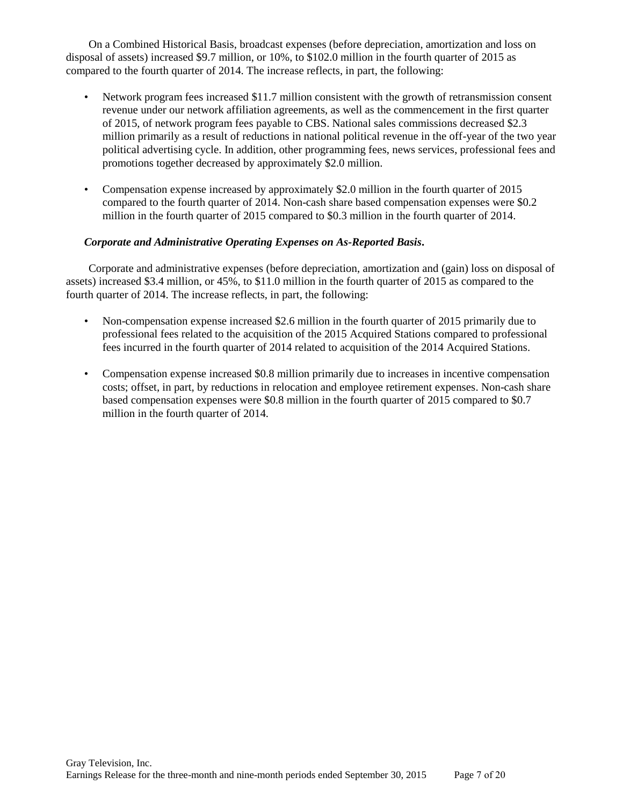On a Combined Historical Basis, broadcast expenses (before depreciation, amortization and loss on disposal of assets) increased \$9.7 million, or 10%, to \$102.0 million in the fourth quarter of 2015 as compared to the fourth quarter of 2014. The increase reflects, in part, the following:

- Network program fees increased \$11.7 million consistent with the growth of retransmission consent revenue under our network affiliation agreements, as well as the commencement in the first quarter of 2015, of network program fees payable to CBS. National sales commissions decreased \$2.3 million primarily as a result of reductions in national political revenue in the off-year of the two year political advertising cycle. In addition, other programming fees, news services, professional fees and promotions together decreased by approximately \$2.0 million.
- Compensation expense increased by approximately \$2.0 million in the fourth quarter of 2015 compared to the fourth quarter of 2014. Non-cash share based compensation expenses were \$0.2 million in the fourth quarter of 2015 compared to \$0.3 million in the fourth quarter of 2014.

### *Corporate and Administrative Operating Expenses on As-Reported Basis***.**

Corporate and administrative expenses (before depreciation, amortization and (gain) loss on disposal of assets) increased \$3.4 million, or 45%, to \$11.0 million in the fourth quarter of 2015 as compared to the fourth quarter of 2014. The increase reflects, in part, the following:

- Non-compensation expense increased \$2.6 million in the fourth quarter of 2015 primarily due to professional fees related to the acquisition of the 2015 Acquired Stations compared to professional fees incurred in the fourth quarter of 2014 related to acquisition of the 2014 Acquired Stations.
- Compensation expense increased \$0.8 million primarily due to increases in incentive compensation costs; offset, in part, by reductions in relocation and employee retirement expenses. Non-cash share based compensation expenses were \$0.8 million in the fourth quarter of 2015 compared to \$0.7 million in the fourth quarter of 2014.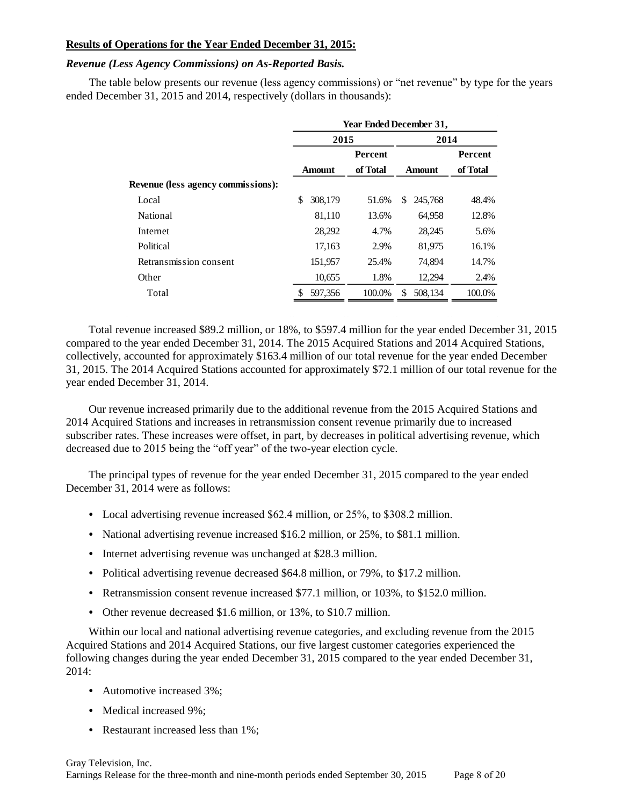### **Results of Operations for the Year Ended December 31, 2015:**

### *Revenue (Less Agency Commissions) on As-Reported Basis.*

The table below presents our revenue (less agency commissions) or "net revenue" by type for the years ended December 31, 2015 and 2014, respectively (dollars in thousands):

|                                           | Year Ended December 31, |                |          |    |               |          |  |  |
|-------------------------------------------|-------------------------|----------------|----------|----|---------------|----------|--|--|
|                                           |                         | 2015           |          |    | 2014          |          |  |  |
|                                           |                         | <b>Percent</b> |          |    |               | Percent  |  |  |
|                                           |                         | <b>Amount</b>  | of Total |    | <b>Amount</b> | of Total |  |  |
| <b>Revenue (less agency commissions):</b> |                         |                |          |    |               |          |  |  |
| Local                                     | \$                      | 308,179        | 51.6%    | \$ | 245,768       | 48.4%    |  |  |
| <b>National</b>                           |                         | 81,110         | 13.6%    |    | 64,958        | 12.8%    |  |  |
| Internet                                  |                         | 28,292         | 4.7%     |    | 28,245        | 5.6%     |  |  |
| Political                                 |                         | 17,163         | 2.9%     |    | 81,975        | 16.1%    |  |  |
| Retransmission consent                    |                         | 151,957        | 25.4%    |    | 74,894        | 14.7%    |  |  |
| Other                                     |                         | 10,655         | 1.8%     |    | 12,294        | 2.4%     |  |  |
| Total                                     |                         | 597,356        | 100.0%   | S  | 508.134       | 100.0%   |  |  |
|                                           |                         |                |          |    |               |          |  |  |

Total revenue increased \$89.2 million, or 18%, to \$597.4 million for the year ended December 31, 2015 compared to the year ended December 31, 2014. The 2015 Acquired Stations and 2014 Acquired Stations, collectively, accounted for approximately \$163.4 million of our total revenue for the year ended December 31, 2015. The 2014 Acquired Stations accounted for approximately \$72.1 million of our total revenue for the year ended December 31, 2014.

Our revenue increased primarily due to the additional revenue from the 2015 Acquired Stations and 2014 Acquired Stations and increases in retransmission consent revenue primarily due to increased subscriber rates. These increases were offset, in part, by decreases in political advertising revenue, which decreased due to 2015 being the "off year" of the two-year election cycle.

The principal types of revenue for the year ended December 31, 2015 compared to the year ended December 31, 2014 were as follows:

- **•** Local advertising revenue increased \$62.4 million, or 25%, to \$308.2 million.
- **•** National advertising revenue increased \$16.2 million, or 25%, to \$81.1 million.
- **•** Internet advertising revenue was unchanged at \$28.3 million.
- **•** Political advertising revenue decreased \$64.8 million, or 79%, to \$17.2 million.
- **•** Retransmission consent revenue increased \$77.1 million, or 103%, to \$152.0 million.
- **•** Other revenue decreased \$1.6 million, or 13%, to \$10.7 million.

Within our local and national advertising revenue categories, and excluding revenue from the 2015 Acquired Stations and 2014 Acquired Stations, our five largest customer categories experienced the following changes during the year ended December 31, 2015 compared to the year ended December 31, 2014:

- **•** Automotive increased 3%;
- Medical increased 9%;
- **•** Restaurant increased less than 1%;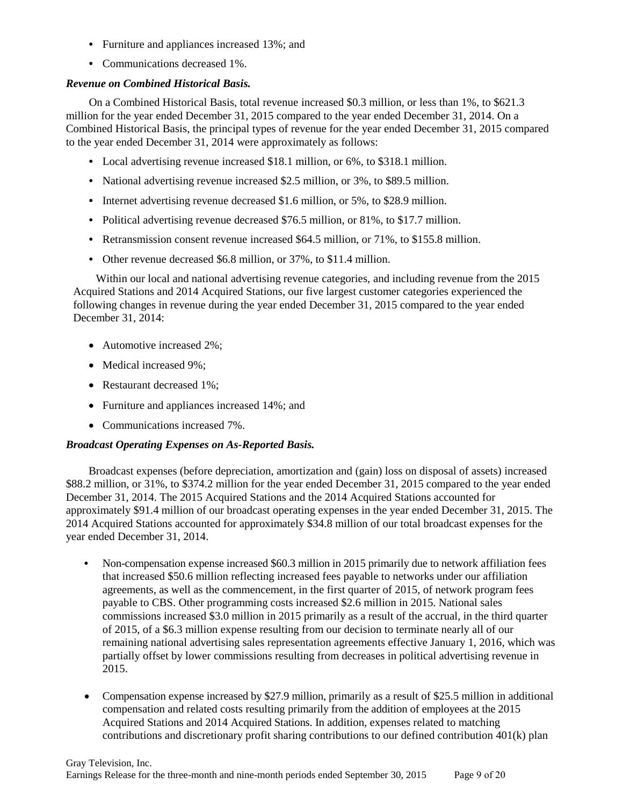- **•** Furniture and appliances increased 13%; and
- **•** Communications decreased 1%.

### *Revenue on Combined Historical Basis.*

On a Combined Historical Basis, total revenue increased \$0.3 million, or less than 1%, to \$621.3 million for the year ended December 31, 2015 compared to the year ended December 31, 2014. On a Combined Historical Basis, the principal types of revenue for the year ended December 31, 2015 compared to the year ended December 31, 2014 were approximately as follows:

- **•** Local advertising revenue increased \$18.1 million, or 6%, to \$318.1 million.
- **•** National advertising revenue increased \$2.5 million, or 3%, to \$89.5 million.
- **•** Internet advertising revenue decreased \$1.6 million, or 5%, to \$28.9 million.
- **•** Political advertising revenue decreased \$76.5 million, or 81%, to \$17.7 million.
- **•** Retransmission consent revenue increased \$64.5 million, or 71%, to \$155.8 million.
- **•** Other revenue decreased \$6.8 million, or 37%, to \$11.4 million.

Within our local and national advertising revenue categories, and including revenue from the 2015 Acquired Stations and 2014 Acquired Stations, our five largest customer categories experienced the following changes in revenue during the year ended December 31, 2015 compared to the year ended December 31, 2014:

- Automotive increased 2%;
- Medical increased 9%;
- Restaurant decreased 1%;
- Furniture and appliances increased 14%; and
- Communications increased 7%.

### *Broadcast Operating Expenses on As-Reported Basis.*

Broadcast expenses (before depreciation, amortization and (gain) loss on disposal of assets) increased \$88.2 million, or 31%, to \$374.2 million for the year ended December 31, 2015 compared to the year ended December 31, 2014. The 2015 Acquired Stations and the 2014 Acquired Stations accounted for approximately \$91.4 million of our broadcast operating expenses in the year ended December 31, 2015. The 2014 Acquired Stations accounted for approximately \$34.8 million of our total broadcast expenses for the year ended December 31, 2014.

- Non-compensation expense increased \$60.3 million in 2015 primarily due to network affiliation fees that increased \$50.6 million reflecting increased fees payable to networks under our affiliation agreements, as well as the commencement, in the first quarter of 2015, of network program fees payable to CBS. Other programming costs increased \$2.6 million in 2015. National sales commissions increased \$3.0 million in 2015 primarily as a result of the accrual, in the third quarter of 2015, of a \$6.3 million expense resulting from our decision to terminate nearly all of our remaining national advertising sales representation agreements effective January 1, 2016, which was partially offset by lower commissions resulting from decreases in political advertising revenue in 2015.
- Compensation expense increased by \$27.9 million, primarily as a result of \$25.5 million in additional compensation and related costs resulting primarily from the addition of employees at the 2015 Acquired Stations and 2014 Acquired Stations. In addition, expenses related to matching contributions and discretionary profit sharing contributions to our defined contribution 401(k) plan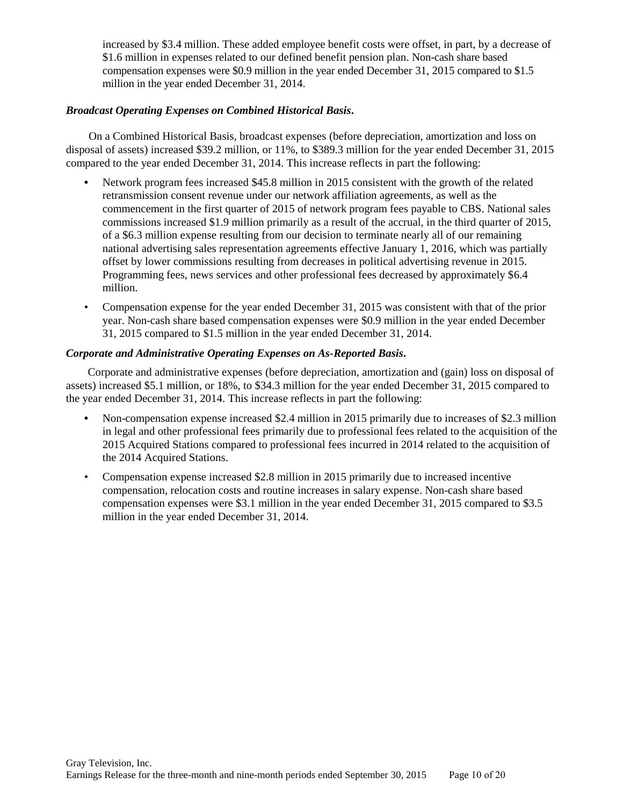increased by \$3.4 million. These added employee benefit costs were offset, in part, by a decrease of \$1.6 million in expenses related to our defined benefit pension plan. Non-cash share based compensation expenses were \$0.9 million in the year ended December 31, 2015 compared to \$1.5 million in the year ended December 31, 2014.

### *Broadcast Operating Expenses on Combined Historical Basis***.**

On a Combined Historical Basis, broadcast expenses (before depreciation, amortization and loss on disposal of assets) increased \$39.2 million, or 11%, to \$389.3 million for the year ended December 31, 2015 compared to the year ended December 31, 2014. This increase reflects in part the following:

- **•** Network program fees increased \$45.8 million in 2015 consistent with the growth of the related retransmission consent revenue under our network affiliation agreements, as well as the commencement in the first quarter of 2015 of network program fees payable to CBS. National sales commissions increased \$1.9 million primarily as a result of the accrual, in the third quarter of 2015, of a \$6.3 million expense resulting from our decision to terminate nearly all of our remaining national advertising sales representation agreements effective January 1, 2016, which was partially offset by lower commissions resulting from decreases in political advertising revenue in 2015. Programming fees, news services and other professional fees decreased by approximately \$6.4 million.
- Compensation expense for the year ended December 31, 2015 was consistent with that of the prior year. Non-cash share based compensation expenses were \$0.9 million in the year ended December 31, 2015 compared to \$1.5 million in the year ended December 31, 2014.

### *Corporate and Administrative Operating Expenses on As-Reported Basis***.**

Corporate and administrative expenses (before depreciation, amortization and (gain) loss on disposal of assets) increased \$5.1 million, or 18%, to \$34.3 million for the year ended December 31, 2015 compared to the year ended December 31, 2014. This increase reflects in part the following:

- **•** Non-compensation expense increased \$2.4 million in 2015 primarily due to increases of \$2.3 million in legal and other professional fees primarily due to professional fees related to the acquisition of the 2015 Acquired Stations compared to professional fees incurred in 2014 related to the acquisition of the 2014 Acquired Stations.
- Compensation expense increased \$2.8 million in 2015 primarily due to increased incentive compensation, relocation costs and routine increases in salary expense. Non-cash share based compensation expenses were \$3.1 million in the year ended December 31, 2015 compared to \$3.5 million in the year ended December 31, 2014.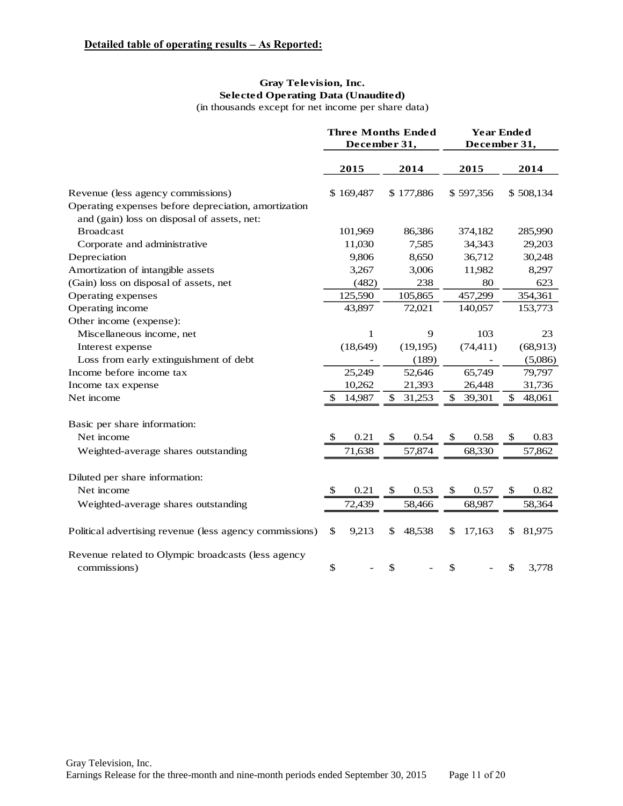## **Gray Television, Inc. Selected Operating Data (Unaudited)**

(in thousands except for net income per share data)

|                                                         |              | <b>Three Months Ended</b><br>December 31, | <b>Year Ended</b><br>December 31, |                      |  |
|---------------------------------------------------------|--------------|-------------------------------------------|-----------------------------------|----------------------|--|
|                                                         | 2015         | 2014                                      | 2015                              | 2014                 |  |
| Revenue (less agency commissions)                       | \$169,487    | \$177,886                                 | \$597,356                         | \$508,134            |  |
| Operating expenses before depreciation, amortization    |              |                                           |                                   |                      |  |
| and (gain) loss on disposal of assets, net:             |              |                                           |                                   |                      |  |
| <b>Broadcast</b>                                        | 101,969      | 86,386                                    | 374,182                           | 285,990              |  |
| Corporate and administrative                            | 11,030       | 7,585                                     | 34,343                            | 29,203               |  |
| Depreciation                                            | 9,806        | 8,650                                     | 36,712                            | 30,248               |  |
| Amortization of intangible assets                       | 3,267        | 3,006                                     | 11,982                            | 8,297                |  |
| (Gain) loss on disposal of assets, net                  | (482)        | 238                                       | 80                                | 623                  |  |
| Operating expenses                                      | 125,590      | 105,865                                   | 457,299                           | 354,361              |  |
| Operating income                                        | 43,897       | 72,021                                    | 140,057                           | 153,773              |  |
| Other income (expense):                                 |              |                                           |                                   |                      |  |
| Miscellaneous income, net                               | $\mathbf{1}$ | 9                                         | 103                               | 23                   |  |
| Interest expense                                        | (18, 649)    | (19,195)                                  | (74, 411)                         | (68,913)             |  |
| Loss from early extinguishment of debt                  |              | (189)                                     |                                   | (5,086)              |  |
| Income before income tax                                | 25,249       | 52,646                                    | 65,749                            | 79,797               |  |
| Income tax expense                                      | 10,262       | 21,393                                    | 26,448                            | 31,736               |  |
| Net income                                              | \$<br>14,987 | \$<br>31,253                              | \$<br>39,301                      | \$<br>48,061         |  |
| Basic per share information:                            |              |                                           |                                   |                      |  |
| Net income                                              | 0.21<br>\$   | 0.54<br>$\mathbb{S}$                      | $\mathbb{S}$<br>0.58              | 0.83<br>$\mathbb{S}$ |  |
| Weighted-average shares outstanding                     | 71,638       | 57,874                                    | 68,330                            | 57,862               |  |
| Diluted per share information:                          |              |                                           |                                   |                      |  |
| Net income                                              | 0.21<br>\$   | $\mathcal{S}$<br>0.53                     | $\mathcal{S}$<br>0.57             | $\mathbb{S}$<br>0.82 |  |
| Weighted-average shares outstanding                     | 72,439       | 58,466                                    | 68,987                            | 58,364               |  |
| Political advertising revenue (less agency commissions) | \$<br>9,213  | 48,538<br>\$                              | \$<br>17,163                      | \$<br>81,975         |  |
| Revenue related to Olympic broadcasts (less agency      |              |                                           |                                   |                      |  |
| commissions)                                            | \$           | \$                                        | \$                                | \$<br>3,778          |  |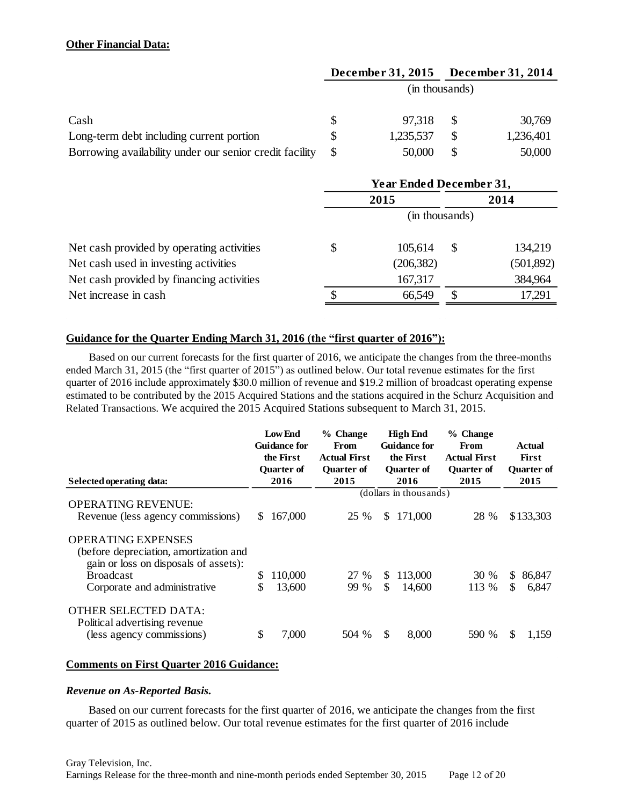## **Other Financial Data:**

|                                                         | December 31, 2015 |    | <b>December 31, 2014</b> |
|---------------------------------------------------------|-------------------|----|--------------------------|
|                                                         | (in thousands)    |    |                          |
| Cash                                                    | 97,318            | -S | 30,769                   |
| Long-term debt including current portion                | 1,235,537         |    | 1,236,401                |
| Borrowing availability under our senior credit facility | 50,000            |    | 50,000                   |

|                                           | <b>Year Ended December 31,</b> |            |    |            |  |  |  |
|-------------------------------------------|--------------------------------|------------|----|------------|--|--|--|
|                                           | 2015                           |            |    | 2014       |  |  |  |
|                                           | (in thousands)                 |            |    |            |  |  |  |
| Net cash provided by operating activities | \$                             | 105,614    | \$ | 134,219    |  |  |  |
| Net cash used in investing activities     |                                | (206, 382) |    | (501, 892) |  |  |  |
| Net cash provided by financing activities |                                | 167,317    |    | 384,964    |  |  |  |
| Net increase in cash                      | S                              | 66,549     | S  | 17,291     |  |  |  |

## **Guidance for the Quarter Ending March 31, 2016 (the "first quarter of 2016"):**

Based on our current forecasts for the first quarter of 2016, we anticipate the changes from the three-months ended March 31, 2015 (the "first quarter of 2015") as outlined below. Our total revenue estimates for the first quarter of 2016 include approximately \$30.0 million of revenue and \$19.2 million of broadcast operating expense estimated to be contributed by the 2015 Acquired Stations and the stations acquired in the Schurz Acquisition and Related Transactions. We acquired the 2015 Acquired Stations subsequent to March 31, 2015.

|                                                                                                              | <b>Low End</b><br><b>Guidance for</b><br>the First<br>Quarter of | % Change<br>From<br><b>Actual First</b><br><b>Quarter of</b> | <b>High End</b><br>Guidance for<br>the First<br><b>Ouarter of</b> | % Change<br>From<br><b>Actual First</b><br><b>Quarter of</b> | Actual<br>First<br><b>Quarter of</b> |
|--------------------------------------------------------------------------------------------------------------|------------------------------------------------------------------|--------------------------------------------------------------|-------------------------------------------------------------------|--------------------------------------------------------------|--------------------------------------|
| Selected operating data:                                                                                     | 2016                                                             | 2015                                                         | 2016                                                              | 2015                                                         | 2015                                 |
|                                                                                                              |                                                                  |                                                              | (dollars in thousands)                                            |                                                              |                                      |
| <b>OPERATING REVENUE:</b><br>Revenue (less agency commissions)                                               | 167,000<br>\$.                                                   | 25 %                                                         | S.<br>171,000                                                     | 28 %                                                         | \$133,303                            |
| <b>OPERATING EXPENSES</b><br>(before depreciation, amortization and<br>gain or loss on disposals of assets): |                                                                  |                                                              |                                                                   |                                                              |                                      |
| <b>Broadcast</b>                                                                                             | 110,000<br>S                                                     | 27 %                                                         | 113,000<br><sup>S</sup>                                           | 30 %                                                         | 86,847<br>S.                         |
| Corporate and administrative                                                                                 | \$<br>13,600                                                     | 99 %                                                         | \$.<br>14,600                                                     | 113 %                                                        | \$<br>6,847                          |
| <b>OTHER SELECTED DATA:</b><br>Political advertising revenue<br>(less agency commissions)                    | \$<br>7,000                                                      | 504 %                                                        | \$.<br>8,000                                                      | 590 %                                                        | S.<br>1,159                          |

### **Comments on First Quarter 2016 Guidance:**

### *Revenue on As-Reported Basis.*

Based on our current forecasts for the first quarter of 2016, we anticipate the changes from the first quarter of 2015 as outlined below. Our total revenue estimates for the first quarter of 2016 include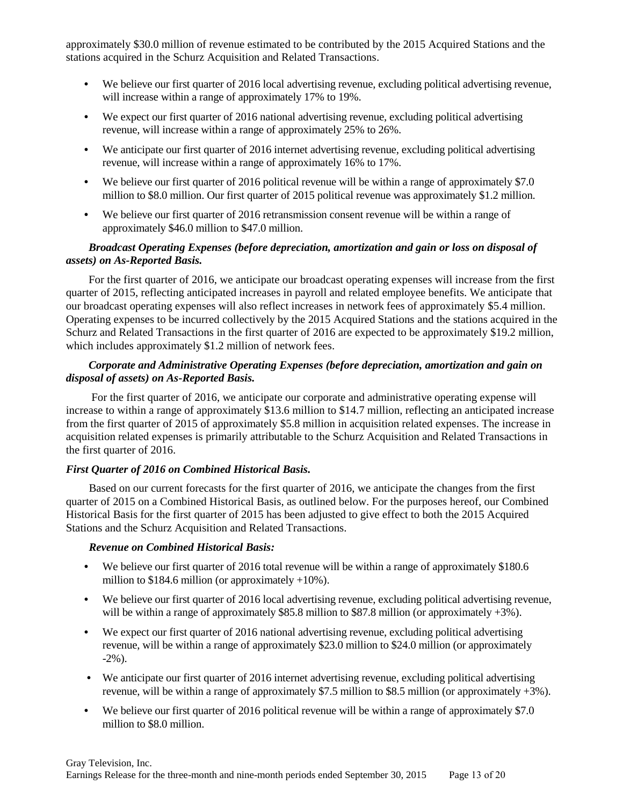approximately \$30.0 million of revenue estimated to be contributed by the 2015 Acquired Stations and the stations acquired in the Schurz Acquisition and Related Transactions.

- **•** We believe our first quarter of 2016 local advertising revenue, excluding political advertising revenue, will increase within a range of approximately 17% to 19%.
- We expect our first quarter of 2016 national advertising revenue, excluding political advertising revenue, will increase within a range of approximately 25% to 26%.
- We anticipate our first quarter of 2016 internet advertising revenue, excluding political advertising revenue, will increase within a range of approximately 16% to 17%.
- We believe our first quarter of 2016 political revenue will be within a range of approximately \$7.0 million to \$8.0 million. Our first quarter of 2015 political revenue was approximately \$1.2 million.
- **•** We believe our first quarter of 2016 retransmission consent revenue will be within a range of approximately \$46.0 million to \$47.0 million.

## *Broadcast Operating Expenses (before depreciation, amortization and gain or loss on disposal of assets) on As-Reported Basis.*

For the first quarter of 2016, we anticipate our broadcast operating expenses will increase from the first quarter of 2015, reflecting anticipated increases in payroll and related employee benefits. We anticipate that our broadcast operating expenses will also reflect increases in network fees of approximately \$5.4 million. Operating expenses to be incurred collectively by the 2015 Acquired Stations and the stations acquired in the Schurz and Related Transactions in the first quarter of 2016 are expected to be approximately \$19.2 million, which includes approximately \$1.2 million of network fees.

### *Corporate and Administrative Operating Expenses (before depreciation, amortization and gain on disposal of assets) on As-Reported Basis.*

For the first quarter of 2016, we anticipate our corporate and administrative operating expense will increase to within a range of approximately \$13.6 million to \$14.7 million, reflecting an anticipated increase from the first quarter of 2015 of approximately \$5.8 million in acquisition related expenses. The increase in acquisition related expenses is primarily attributable to the Schurz Acquisition and Related Transactions in the first quarter of 2016.

## *First Quarter of 2016 on Combined Historical Basis.*

Based on our current forecasts for the first quarter of 2016, we anticipate the changes from the first quarter of 2015 on a Combined Historical Basis, as outlined below. For the purposes hereof, our Combined Historical Basis for the first quarter of 2015 has been adjusted to give effect to both the 2015 Acquired Stations and the Schurz Acquisition and Related Transactions.

### *Revenue on Combined Historical Basis:*

- We believe our first quarter of 2016 total revenue will be within a range of approximately \$180.6 million to \$184.6 million (or approximately  $+10\%$ ).
- **•** We believe our first quarter of 2016 local advertising revenue, excluding political advertising revenue, will be within a range of approximately \$85.8 million to \$87.8 million (or approximately  $+3\%$ ).
- We expect our first quarter of 2016 national advertising revenue, excluding political advertising revenue, will be within a range of approximately \$23.0 million to \$24.0 million (or approximately  $-2\%$ ).
- We anticipate our first quarter of 2016 internet advertising revenue, excluding political advertising revenue, will be within a range of approximately \$7.5 million to \$8.5 million (or approximately +3%).
- We believe our first quarter of 2016 political revenue will be within a range of approximately \$7.0 million to \$8.0 million.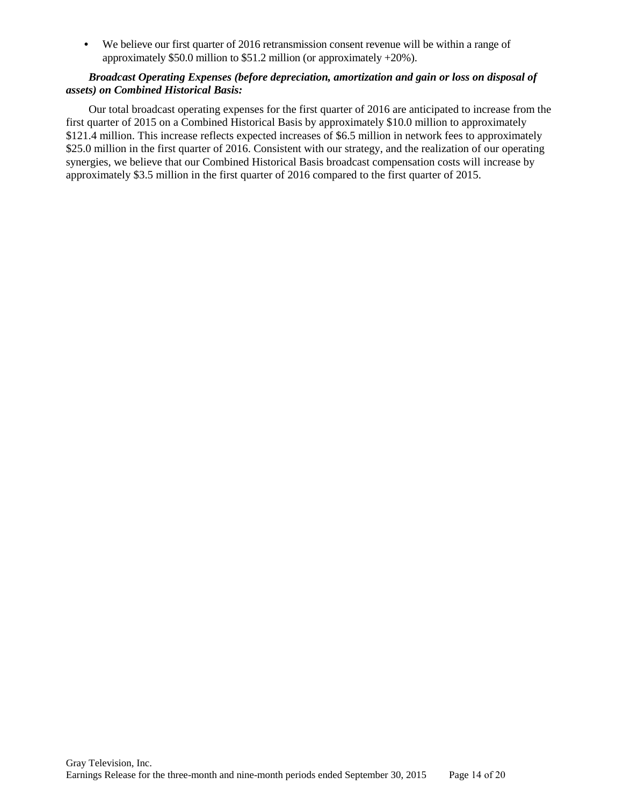**•** We believe our first quarter of 2016 retransmission consent revenue will be within a range of approximately \$50.0 million to \$51.2 million (or approximately +20%).

### *Broadcast Operating Expenses (before depreciation, amortization and gain or loss on disposal of assets) on Combined Historical Basis:*

Our total broadcast operating expenses for the first quarter of 2016 are anticipated to increase from the first quarter of 2015 on a Combined Historical Basis by approximately \$10.0 million to approximately \$121.4 million. This increase reflects expected increases of \$6.5 million in network fees to approximately \$25.0 million in the first quarter of 2016. Consistent with our strategy, and the realization of our operating synergies, we believe that our Combined Historical Basis broadcast compensation costs will increase by approximately \$3.5 million in the first quarter of 2016 compared to the first quarter of 2015.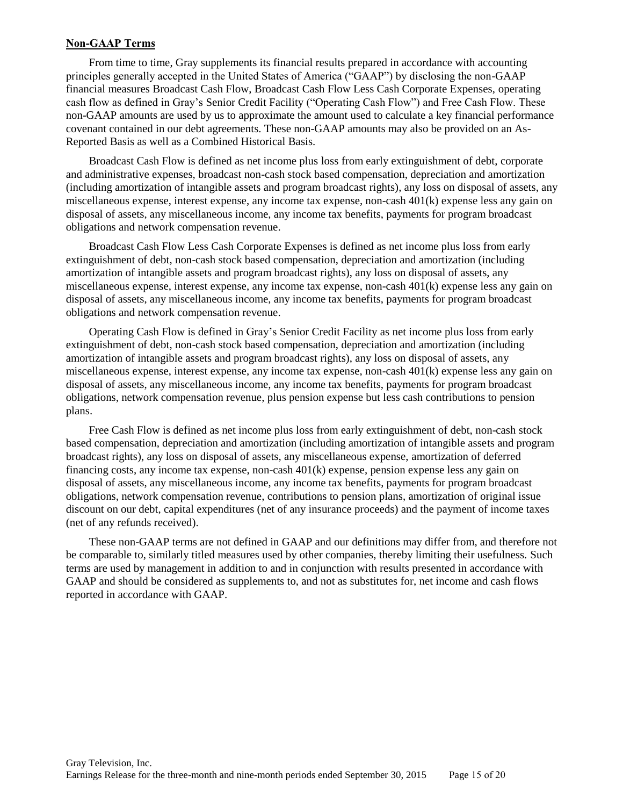### **Non-GAAP Terms**

From time to time, Gray supplements its financial results prepared in accordance with accounting principles generally accepted in the United States of America ("GAAP") by disclosing the non-GAAP financial measures Broadcast Cash Flow, Broadcast Cash Flow Less Cash Corporate Expenses, operating cash flow as defined in Gray's Senior Credit Facility ("Operating Cash Flow") and Free Cash Flow. These non-GAAP amounts are used by us to approximate the amount used to calculate a key financial performance covenant contained in our debt agreements. These non-GAAP amounts may also be provided on an As-Reported Basis as well as a Combined Historical Basis.

Broadcast Cash Flow is defined as net income plus loss from early extinguishment of debt, corporate and administrative expenses, broadcast non-cash stock based compensation, depreciation and amortization (including amortization of intangible assets and program broadcast rights), any loss on disposal of assets, any miscellaneous expense, interest expense, any income tax expense, non-cash 401(k) expense less any gain on disposal of assets, any miscellaneous income, any income tax benefits, payments for program broadcast obligations and network compensation revenue.

Broadcast Cash Flow Less Cash Corporate Expenses is defined as net income plus loss from early extinguishment of debt, non-cash stock based compensation, depreciation and amortization (including amortization of intangible assets and program broadcast rights), any loss on disposal of assets, any miscellaneous expense, interest expense, any income tax expense, non-cash 401(k) expense less any gain on disposal of assets, any miscellaneous income, any income tax benefits, payments for program broadcast obligations and network compensation revenue.

Operating Cash Flow is defined in Gray's Senior Credit Facility as net income plus loss from early extinguishment of debt, non-cash stock based compensation, depreciation and amortization (including amortization of intangible assets and program broadcast rights), any loss on disposal of assets, any miscellaneous expense, interest expense, any income tax expense, non-cash 401(k) expense less any gain on disposal of assets, any miscellaneous income, any income tax benefits, payments for program broadcast obligations, network compensation revenue, plus pension expense but less cash contributions to pension plans.

Free Cash Flow is defined as net income plus loss from early extinguishment of debt, non-cash stock based compensation, depreciation and amortization (including amortization of intangible assets and program broadcast rights), any loss on disposal of assets, any miscellaneous expense, amortization of deferred financing costs, any income tax expense, non-cash 401(k) expense, pension expense less any gain on disposal of assets, any miscellaneous income, any income tax benefits, payments for program broadcast obligations, network compensation revenue, contributions to pension plans, amortization of original issue discount on our debt, capital expenditures (net of any insurance proceeds) and the payment of income taxes (net of any refunds received).

These non-GAAP terms are not defined in GAAP and our definitions may differ from, and therefore not be comparable to, similarly titled measures used by other companies, thereby limiting their usefulness. Such terms are used by management in addition to and in conjunction with results presented in accordance with GAAP and should be considered as supplements to, and not as substitutes for, net income and cash flows reported in accordance with GAAP.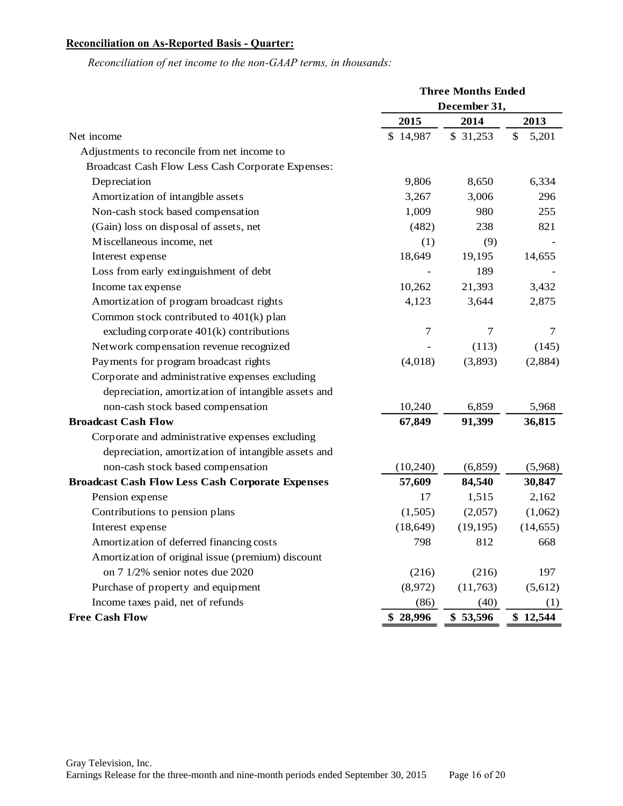### **Reconciliation on As-Reported Basis - Quarter:**

*Reconciliation of net income to the non-GAAP terms, in thousands:*

|                                                         |           | <b>Three Months Ended</b> |             |
|---------------------------------------------------------|-----------|---------------------------|-------------|
|                                                         |           | December 31,              |             |
|                                                         | 2015      | 2014                      | 2013        |
| Net income                                              | \$14,987  | \$31,253                  | \$<br>5,201 |
| Adjustments to reconcile from net income to             |           |                           |             |
| Broadcast Cash Flow Less Cash Corporate Expenses:       |           |                           |             |
| Depreciation                                            | 9,806     | 8,650                     | 6,334       |
| Amortization of intangible assets                       | 3,267     | 3,006                     | 296         |
| Non-cash stock based compensation                       | 1,009     | 980                       | 255         |
| (Gain) loss on disposal of assets, net                  | (482)     | 238                       | 821         |
| Miscellaneous income, net                               | (1)       | (9)                       |             |
| Interest expense                                        | 18,649    | 19,195                    | 14,655      |
| Loss from early extinguishment of debt                  |           | 189                       |             |
| Income tax expense                                      | 10,262    | 21,393                    | 3,432       |
| Amortization of program broadcast rights                | 4,123     | 3,644                     | 2,875       |
| Common stock contributed to 401(k) plan                 |           |                           |             |
| excluding corporate $401(k)$ contributions              | 7         | 7                         | 7           |
| Network compensation revenue recognized                 |           | (113)                     | (145)       |
| Payments for program broadcast rights                   | (4,018)   | (3,893)                   | (2,884)     |
| Corporate and administrative expenses excluding         |           |                           |             |
| depreciation, amortization of intangible assets and     |           |                           |             |
| non-cash stock based compensation                       | 10,240    | 6,859                     | 5,968       |
| <b>Broadcast Cash Flow</b>                              | 67,849    | 91,399                    | 36,815      |
| Corporate and administrative expenses excluding         |           |                           |             |
| depreciation, amortization of intangible assets and     |           |                           |             |
| non-cash stock based compensation                       | (10,240)  | (6, 859)                  | (5,968)     |
| <b>Broadcast Cash Flow Less Cash Corporate Expenses</b> | 57,609    | 84,540                    | 30,847      |
| Pension expense                                         | 17        | 1,515                     | 2,162       |
| Contributions to pension plans                          | (1,505)   | (2,057)                   | (1,062)     |
| Interest expense                                        | (18, 649) | (19, 195)                 | (14, 655)   |
| Amortization of deferred financing costs                | 798       | 812                       | 668         |
| Amortization of original issue (premium) discount       |           |                           |             |
| on 7 1/2% senior notes due 2020                         | (216)     | (216)                     | 197         |
| Purchase of property and equipment                      | (8,972)   | (11,763)                  | (5,612)     |
| Income taxes paid, net of refunds                       | (86)      | (40)                      | (1)         |
| <b>Free Cash Flow</b>                                   | \$28,996  | \$53,596                  | \$12,544    |

 $\mathcal{L}_{\text{max}}$  and  $\mathcal{L}_{\text{max}}$  and  $\mathcal{L}_{\text{max}}$  and  $\mathcal{L}_{\text{max}}$  are  $\mathcal{L}_{\text{max}}$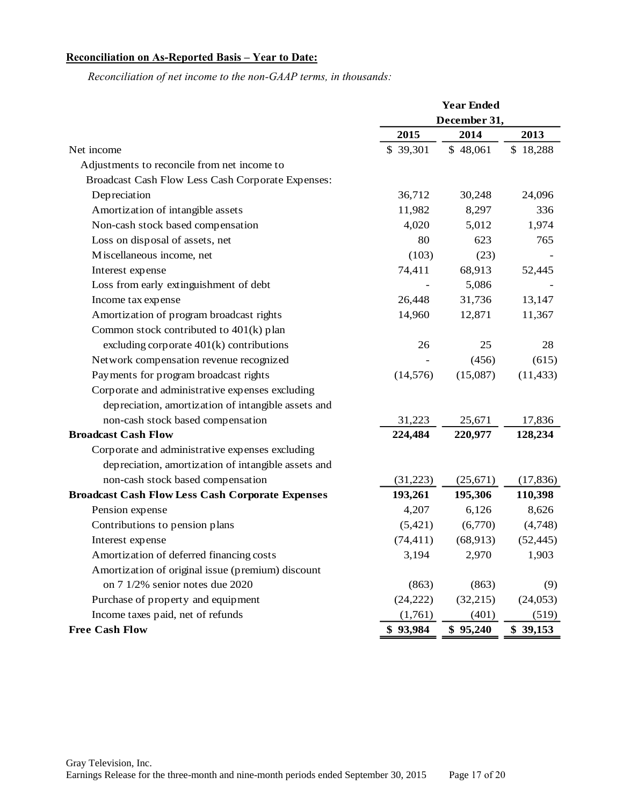# **Reconciliation on As-Reported Basis – Year to Date:**

*Reconciliation of net income to the non-GAAP terms, in thousands:*

|                                                         |           | <b>Year Ended</b> |           |
|---------------------------------------------------------|-----------|-------------------|-----------|
|                                                         |           | December 31,      |           |
|                                                         | 2015      | 2014              | 2013      |
| Net income                                              | \$ 39,301 | \$48,061          | \$18,288  |
| Adjustments to reconcile from net income to             |           |                   |           |
| Broadcast Cash Flow Less Cash Corporate Expenses:       |           |                   |           |
| Depreciation                                            | 36,712    | 30,248            | 24,096    |
| Amortization of intangible assets                       | 11,982    | 8,297             | 336       |
| Non-cash stock based compensation                       | 4,020     | 5,012             | 1,974     |
| Loss on disposal of assets, net                         | 80        | 623               | 765       |
| Miscellaneous income, net                               | (103)     | (23)              |           |
| Interest expense                                        | 74,411    | 68,913            | 52,445    |
| Loss from early extinguishment of debt                  |           | 5,086             |           |
| Income tax expense                                      | 26,448    | 31,736            | 13,147    |
| Amortization of program broadcast rights                | 14,960    | 12,871            | 11,367    |
| Common stock contributed to 401(k) plan                 |           |                   |           |
| excluding corporate $401(k)$ contributions              | 26        | 25                | 28        |
| Network compensation revenue recognized                 |           | (456)             | (615)     |
| Payments for program broadcast rights                   | (14, 576) | (15,087)          | (11, 433) |
| Corporate and administrative expenses excluding         |           |                   |           |
| depreciation, amortization of intangible assets and     |           |                   |           |
| non-cash stock based compensation                       | 31,223    | 25,671            | 17,836    |
| <b>Broadcast Cash Flow</b>                              | 224,484   | 220,977           | 128,234   |
| Corporate and administrative expenses excluding         |           |                   |           |
| depreciation, amortization of intangible assets and     |           |                   |           |
| non-cash stock based compensation                       | (31,223)  | (25,671)          | (17, 836) |
| <b>Broadcast Cash Flow Less Cash Corporate Expenses</b> | 193,261   | 195,306           | 110,398   |
| Pension expense                                         | 4,207     | 6,126             | 8,626     |
| Contributions to pension plans                          | (5,421)   | (6,770)           | (4,748)   |
| Interest expense                                        | (74, 411) | (68, 913)         | (52, 445) |
| Amortization of deferred financing costs                | 3,194     | 2,970             | 1,903     |
| Amortization of original issue (premium) discount       |           |                   |           |
| on 7 1/2% senior notes due 2020                         | (863)     | (863)             | (9)       |
| Purchase of property and equipment                      | (24, 222) | (32, 215)         | (24, 053) |
| Income taxes paid, net of refunds                       | (1,761)   | (401)             | (519)     |
| <b>Free Cash Flow</b>                                   | \$93,984  | \$95,240          | \$39,153  |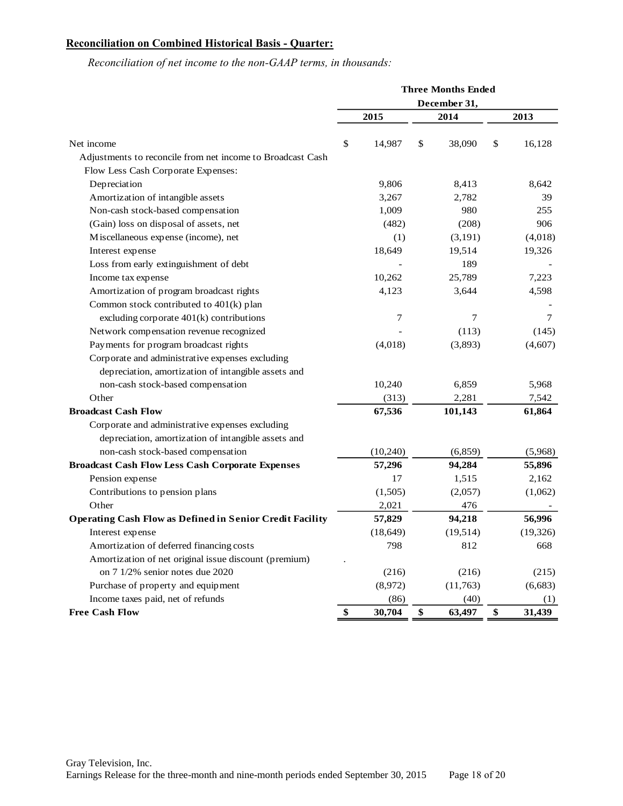### **Reconciliation on Combined Historical Basis - Quarter:**

*Reconciliation of net income to the non-GAAP terms, in thousands:*

|                                                                 | <b>Three Months Ended</b> |           |    |           |    |           |  |  |
|-----------------------------------------------------------------|---------------------------|-----------|----|-----------|----|-----------|--|--|
|                                                                 | December 31,              |           |    |           |    |           |  |  |
|                                                                 |                           | 2015      |    | 2014      |    | 2013      |  |  |
| Net income                                                      | \$                        | 14,987    | \$ | 38,090    | \$ | 16,128    |  |  |
| Adjustments to reconcile from net income to Broadcast Cash      |                           |           |    |           |    |           |  |  |
| Flow Less Cash Corporate Expenses:                              |                           |           |    |           |    |           |  |  |
| Depreciation                                                    |                           | 9,806     |    | 8,413     |    | 8,642     |  |  |
| Amortization of intangible assets                               |                           | 3,267     |    | 2,782     |    | 39        |  |  |
| Non-cash stock-based compensation                               |                           | 1,009     |    | 980       |    | 255       |  |  |
| (Gain) loss on disposal of assets, net                          |                           | (482)     |    | (208)     |    | 906       |  |  |
| Miscellaneous expense (income), net                             |                           | (1)       |    | (3,191)   |    | (4,018)   |  |  |
| Interest expense                                                |                           | 18,649    |    | 19,514    |    | 19,326    |  |  |
| Loss from early extinguishment of debt                          |                           |           |    | 189       |    |           |  |  |
| Income tax expense                                              |                           | 10,262    |    | 25,789    |    | 7,223     |  |  |
| Amortization of program broadcast rights                        |                           | 4,123     |    | 3,644     |    | 4,598     |  |  |
| Common stock contributed to 401(k) plan                         |                           |           |    |           |    |           |  |  |
| excluding corporate $401(k)$ contributions                      |                           | $\tau$    |    | 7         |    | $\tau$    |  |  |
| Network compensation revenue recognized                         |                           |           |    | (113)     |    | (145)     |  |  |
| Payments for program broadcast rights                           |                           | (4,018)   |    | (3,893)   |    | (4,607)   |  |  |
| Corporate and administrative expenses excluding                 |                           |           |    |           |    |           |  |  |
| depreciation, amortization of intangible assets and             |                           |           |    |           |    |           |  |  |
| non-cash stock-based compensation                               |                           | 10,240    |    | 6,859     |    | 5,968     |  |  |
| Other                                                           |                           | (313)     |    | 2,281     |    | 7,542     |  |  |
| <b>Broadcast Cash Flow</b>                                      |                           | 67,536    |    | 101,143   |    | 61,864    |  |  |
| Corporate and administrative expenses excluding                 |                           |           |    |           |    |           |  |  |
| depreciation, amortization of intangible assets and             |                           |           |    |           |    |           |  |  |
| non-cash stock-based compensation                               |                           | (10,240)  |    | (6, 859)  |    | (5,968)   |  |  |
| <b>Broadcast Cash Flow Less Cash Corporate Expenses</b>         |                           | 57,296    |    | 94,284    |    | 55,896    |  |  |
| Pension expense                                                 |                           | 17        |    | 1,515     |    | 2,162     |  |  |
| Contributions to pension plans                                  |                           | (1,505)   |    | (2,057)   |    | (1,062)   |  |  |
| Other                                                           |                           | 2,021     |    | 476       |    |           |  |  |
| <b>Operating Cash Flow as Defined in Senior Credit Facility</b> |                           | 57,829    |    | 94,218    |    | 56,996    |  |  |
| Interest expense                                                |                           | (18, 649) |    | (19, 514) |    | (19, 326) |  |  |
| Amortization of deferred financing costs                        |                           | 798       |    | 812       |    | 668       |  |  |
| Amortization of net original issue discount (premium)           |                           |           |    |           |    |           |  |  |
| on 7 1/2% senior notes due 2020                                 |                           | (216)     |    | (216)     |    | (215)     |  |  |
| Purchase of property and equipment                              |                           | (8,972)   |    | (11,763)  |    | (6,683)   |  |  |
| Income taxes paid, net of refunds                               |                           | (86)      |    | (40)      |    | (1)       |  |  |
| <b>Free Cash Flow</b>                                           | \$                        | 30,704    | \$ | 63,497    | \$ | 31,439    |  |  |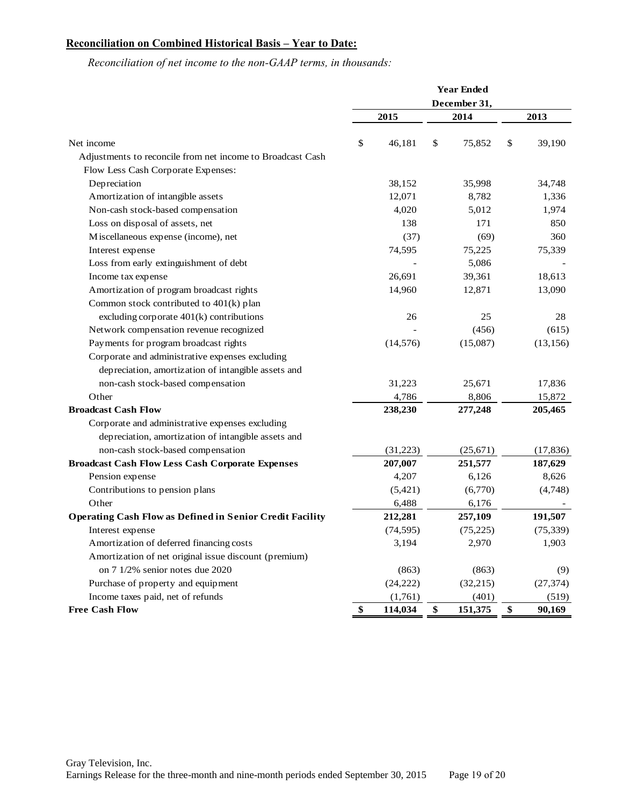### **Reconciliation on Combined Historical Basis – Year to Date:**

*Reconciliation of net income to the non-GAAP terms, in thousands:*

|                                                                 | <b>Year Ended</b> |           |    |           |    |           |  |
|-----------------------------------------------------------------|-------------------|-----------|----|-----------|----|-----------|--|
|                                                                 | December 31,      |           |    |           |    |           |  |
|                                                                 |                   | 2015      |    | 2014      |    | 2013      |  |
| Net income                                                      | \$                | 46,181    | \$ | 75,852    | \$ | 39,190    |  |
| Adjustments to reconcile from net income to Broadcast Cash      |                   |           |    |           |    |           |  |
| Flow Less Cash Corporate Expenses:                              |                   |           |    |           |    |           |  |
| Depreciation                                                    |                   | 38,152    |    | 35,998    |    | 34,748    |  |
| Amortization of intangible assets                               |                   | 12,071    |    | 8,782     |    | 1,336     |  |
| Non-cash stock-based compensation                               |                   | 4,020     |    | 5,012     |    | 1,974     |  |
| Loss on disposal of assets, net                                 |                   | 138       |    | 171       |    | 850       |  |
| Miscellaneous expense (income), net                             |                   | (37)      |    | (69)      |    | 360       |  |
| Interest expense                                                |                   | 74,595    |    | 75,225    |    | 75,339    |  |
| Loss from early extinguishment of debt                          |                   |           |    | 5,086     |    |           |  |
| Income tax expense                                              |                   | 26,691    |    | 39,361    |    | 18,613    |  |
| Amortization of program broadcast rights                        |                   | 14,960    |    | 12,871    |    | 13,090    |  |
| Common stock contributed to $401(k)$ plan                       |                   |           |    |           |    |           |  |
| excluding corporate 401(k) contributions                        |                   | 26        |    | 25        |    | 28        |  |
| Network compensation revenue recognized                         |                   |           |    | (456)     |    | (615)     |  |
| Payments for program broadcast rights                           |                   | (14, 576) |    | (15,087)  |    | (13, 156) |  |
| Corporate and administrative expenses excluding                 |                   |           |    |           |    |           |  |
| depreciation, amortization of intangible assets and             |                   |           |    |           |    |           |  |
| non-cash stock-based compensation                               |                   | 31,223    |    | 25,671    |    | 17,836    |  |
| Other                                                           |                   | 4,786     |    | 8,806     |    | 15,872    |  |
| <b>Broadcast Cash Flow</b>                                      |                   | 238,230   |    | 277,248   |    | 205,465   |  |
| Corporate and administrative expenses excluding                 |                   |           |    |           |    |           |  |
| depreciation, amortization of intangible assets and             |                   |           |    |           |    |           |  |
| non-cash stock-based compensation                               |                   | (31,223)  |    | (25,671)  |    | (17, 836) |  |
| <b>Broadcast Cash Flow Less Cash Corporate Expenses</b>         |                   | 207,007   |    | 251,577   |    | 187,629   |  |
| Pension expense                                                 |                   | 4,207     |    | 6,126     |    | 8,626     |  |
| Contributions to pension plans                                  |                   | (5,421)   |    | (6,770)   |    | (4,748)   |  |
| Other                                                           |                   | 6,488     |    | 6,176     |    |           |  |
| <b>Operating Cash Flow as Defined in Senior Credit Facility</b> |                   | 212,281   |    | 257,109   |    | 191,507   |  |
| Interest expense                                                |                   | (74, 595) |    | (75, 225) |    | (75, 339) |  |
| Amortization of deferred financing costs                        |                   | 3,194     |    | 2,970     |    | 1,903     |  |
| Amortization of net original issue discount (premium)           |                   |           |    |           |    |           |  |
| on $71/2\%$ senior notes due 2020                               |                   | (863)     |    | (863)     |    | (9)       |  |
| Purchase of property and equipment                              |                   | (24, 222) |    | (32,215)  |    | (27, 374) |  |
| Income taxes paid, net of refunds                               |                   | (1,761)   |    | (401)     |    | (519)     |  |
| <b>Free Cash Flow</b>                                           | \$                | 114,034   | \$ | 151,375   | \$ | 90,169    |  |